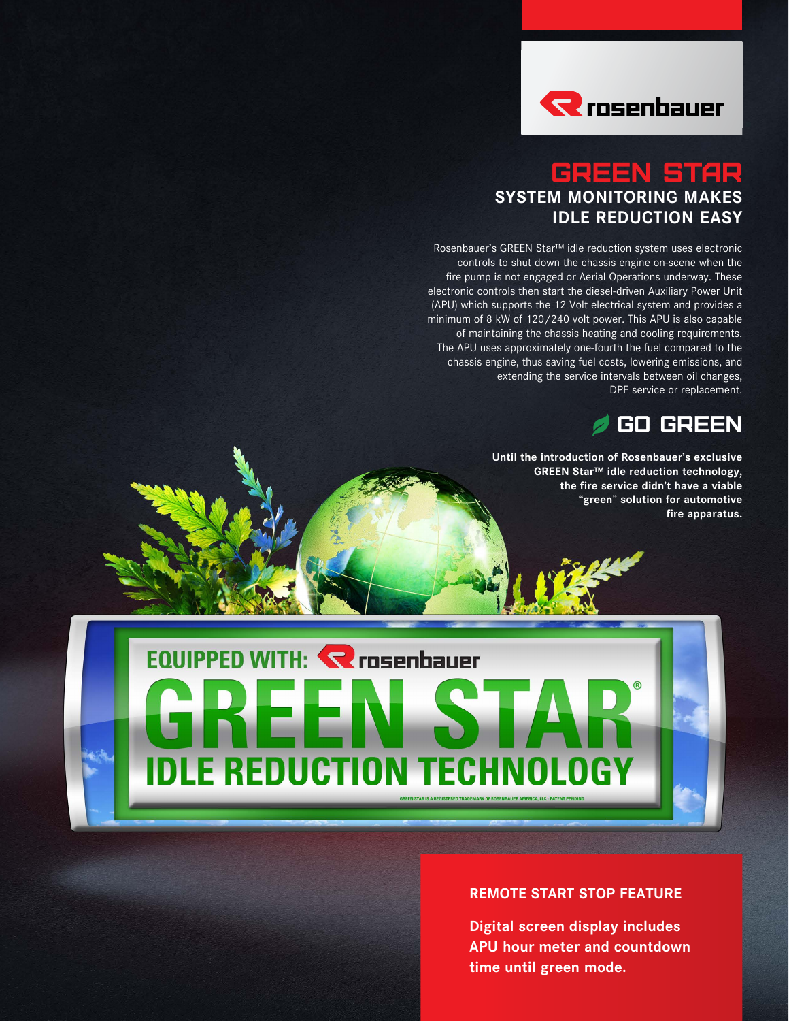

# GREEN STAR **SYSTEM MONITORING MAKES IDLE REDUCTION EASY**

Rosenbauer's GREEN Star™ idle reduction system uses electronic controls to shut down the chassis engine on-scene when the fire pump is not engaged or Aerial Operations underway. These electronic controls then start the diesel-driven Auxiliary Power Unit (APU) which supports the 12 Volt electrical system and provides a minimum of 8 kW of 120/240 volt power. This APU is also capable of maintaining the chassis heating and cooling requirements. The APU uses approximately one-fourth the fuel compared to the chassis engine, thus saving fuel costs, lowering emissions, and extending the service intervals between oil changes, DPF service or replacement.



**Until the introduction of Rosenbauer's exclusive GREEN Star™ idle reduction technology, the fire service didn't have a viable "green" solution for automotive fire apparatus.** 



#### **REMOTE START STOP FEATURE**

**Digital screen display includes APU hour meter and countdown time until green mode.**